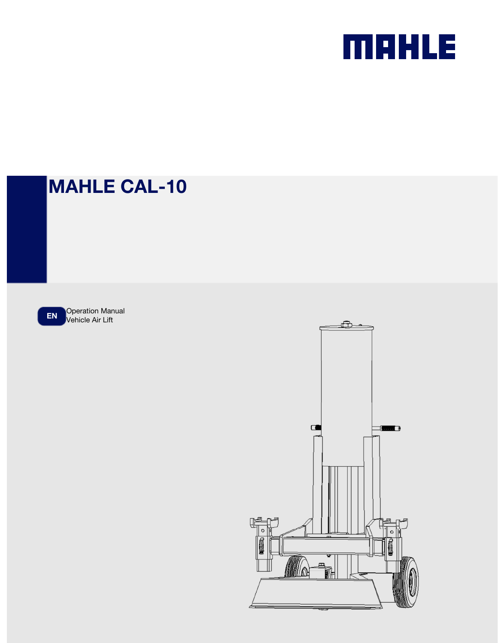

# MAHLE CAL-10

EN Operation Manual

 $\Box$  $\Omega$ 

Ð

**The Country of Lines**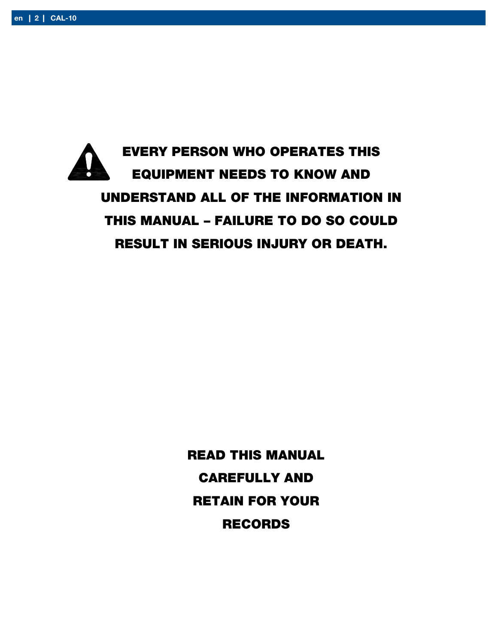EVERY PERSON WHO OPERATES THIS EQUIPMENT NEEDS TO KNOW AND UNDERSTAND ALL OF THE INFORMATION IN THIS MANUAL – FAILURE TO DO SO COULD RESULT IN SERIOUS INJURY OR DEATH.

> READ THIS MANUAL CAREFULLY AND RETAIN FOR YOUR RECORDS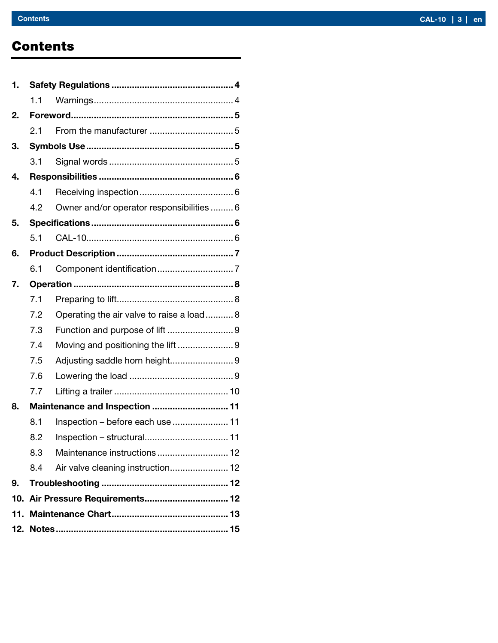# **Contents**

| 1. |     |                                           |  |  |
|----|-----|-------------------------------------------|--|--|
|    | 1.1 |                                           |  |  |
| 2. |     |                                           |  |  |
|    | 2.1 |                                           |  |  |
| 3. |     |                                           |  |  |
|    | 3.1 |                                           |  |  |
| 4. |     |                                           |  |  |
|    | 4.1 |                                           |  |  |
|    | 4.2 | Owner and/or operator responsibilities  6 |  |  |
| 5. |     |                                           |  |  |
|    | 5.1 |                                           |  |  |
| 6. |     |                                           |  |  |
|    | 6.1 |                                           |  |  |
| 7. |     |                                           |  |  |
|    | 7.1 |                                           |  |  |
|    | 7.2 | Operating the air valve to raise a load 8 |  |  |
|    | 7.3 |                                           |  |  |
|    | 7.4 |                                           |  |  |
|    | 7.5 | Adjusting saddle horn height9             |  |  |
|    | 7.6 |                                           |  |  |
|    | 7.7 |                                           |  |  |
| 8. |     | Maintenance and Inspection  11            |  |  |
|    | 8.1 | Inspection - before each use  11          |  |  |
|    | 8.2 | Inspection - structural 11                |  |  |
|    | 8.3 |                                           |  |  |
|    | 8.4 | Air valve cleaning instruction 12         |  |  |
| 9. |     |                                           |  |  |
|    |     | 10. Air Pressure Requirements 12          |  |  |
|    |     |                                           |  |  |
|    |     |                                           |  |  |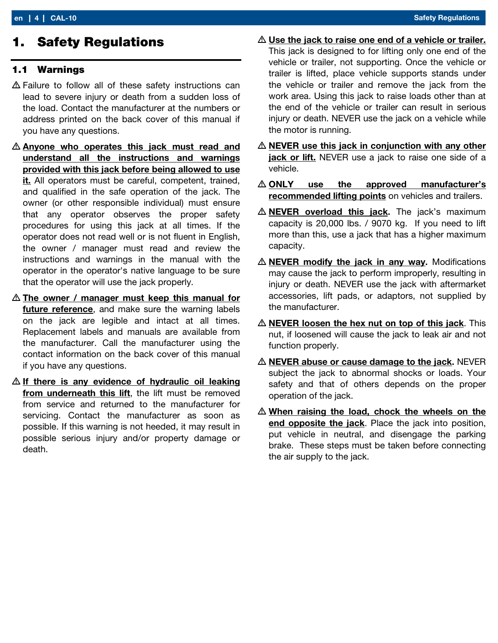## 1. Safety Regulations

#### 1.1 Warnings

- Failure to follow all of these safety instructions can lead to severe injury or death from a sudden loss of the load. Contact the manufacturer at the numbers or address printed on the back cover of this manual if you have any questions.
- **Anyone who operates this jack must read and** understand all the instructions and warnings provided with this jack before being allowed to use it. All operators must be careful, competent, trained, and qualified in the safe operation of the jack. The owner (or other responsible individual) must ensure that any operator observes the proper safety procedures for using this jack at all times. If the operator does not read well or is not fluent in English, the owner / manager must read and review the instructions and warnings in the manual with the operator in the operator's native language to be sure that the operator will use the jack properly.
- $\triangle$  The owner / manager must keep this manual for future reference, and make sure the warning labels on the jack are legible and intact at all times. Replacement labels and manuals are available from the manufacturer. Call the manufacturer using the contact information on the back cover of this manual if you have any questions.
- $\triangle$  If there is any evidence of hydraulic oil leaking from underneath this lift, the lift must be removed from service and returned to the manufacturer for servicing. Contact the manufacturer as soon as possible. If this warning is not heeded, it may result in possible serious injury and/or property damage or death.
- $\triangle$  Use the jack to raise one end of a vehicle or trailer. This jack is designed to for lifting only one end of the vehicle or trailer, not supporting. Once the vehicle or trailer is lifted, place vehicle supports stands under the vehicle or trailer and remove the jack from the work area. Using this jack to raise loads other than at the end of the vehicle or trailer can result in serious injury or death. NEVER use the jack on a vehicle while the motor is running.
- $\triangle$  NEVER use this jack in conjunction with any other jack or lift. NEVER use a jack to raise one side of a vehicle.
- ONLY use the approved manufacturer's recommended lifting points on vehicles and trailers.
- $\triangle$  **NEVER** overload this jack. The jack's maximum capacity is 20,000 lbs. / 9070 kg. If you need to lift more than this, use a jack that has a higher maximum capacity.
- $\triangle$  **NEVER** modify the jack in any way. Modifications may cause the jack to perform improperly, resulting in injury or death. NEVER use the jack with aftermarket accessories, lift pads, or adaptors, not supplied by the manufacturer.
- $\triangle$  NEVER loosen the hex nut on top of this jack. This nut, if loosened will cause the jack to leak air and not function properly.
- NEVER abuse or cause damage to the jack**.** NEVER subject the jack to abnormal shocks or loads. Your safety and that of others depends on the proper operation of the jack.
- $\triangle$  When raising the load, chock the wheels on the end opposite the jack. Place the jack into position, put vehicle in neutral, and disengage the parking brake. These steps must be taken before connecting the air supply to the jack.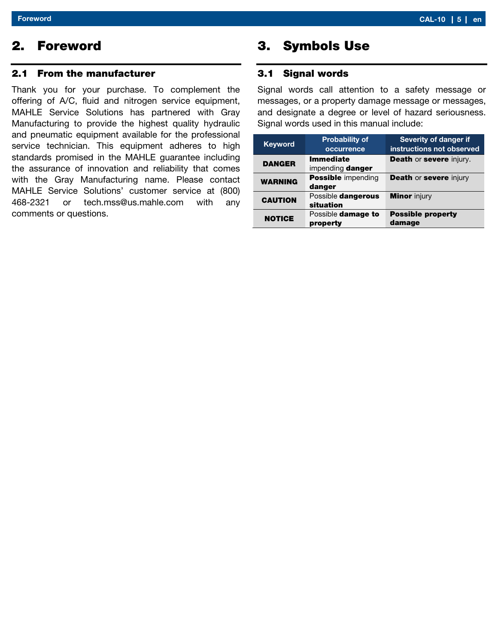# 2. Foreword

#### 2.1 From the manufacturer

Thank you for your purchase. To complement the offering of A/C, fluid and nitrogen service equipment, MAHLE Service Solutions has partnered with Gray Manufacturing to provide the highest quality hydraulic and pneumatic equipment available for the professional service technician. This equipment adheres to high standards promised in the MAHLE guarantee including the assurance of innovation and reliability that comes with the Gray Manufacturing name. Please contact MAHLE Service Solutions' customer service at (800) 468-2321 or tech.mss@us.mahle.com with any comments or questions.

# 3. Symbols Use

#### 3.1 Signal words

Signal words call attention to a safety message or messages, or a property damage message or messages, and designate a degree or level of hazard seriousness. Signal words used in this manual include:

| <b>Keyword</b> | <b>Probability of</b><br>occurrence  | <b>Severity of danger if</b><br>instructions not observed |
|----------------|--------------------------------------|-----------------------------------------------------------|
| <b>DANGER</b>  | <b>Immediate</b><br>impending danger | <b>Death or severe injury.</b>                            |
| <b>WARNING</b> | <b>Possible</b> impending<br>danger  | <b>Death or severe injury</b>                             |
| <b>CAUTION</b> | Possible dangerous<br>situation      | <b>Minor</b> injury                                       |
| <b>NOTICE</b>  | Possible damage to<br>property       | <b>Possible property</b><br>damage                        |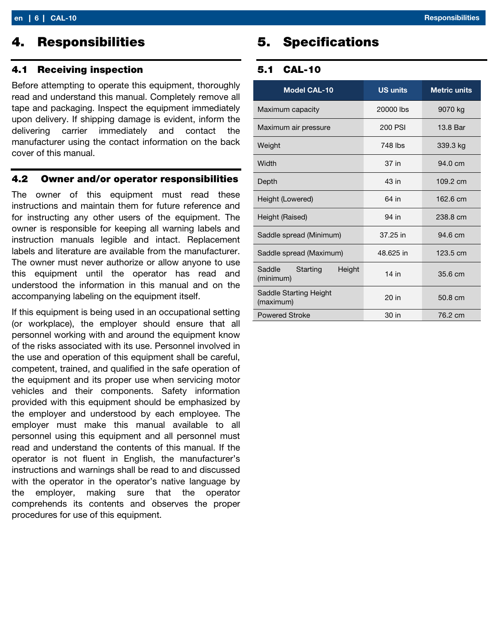#### 4.1 Receiving inspection

Before attempting to operate this equipment, thoroughly read and understand this manual. Completely remove all tape and packaging. Inspect the equipment immediately upon delivery. If shipping damage is evident, inform the delivering carrier immediately and contact the manufacturer using the contact information on the back cover of this manual.

#### 4.2 Owner and/or operator responsibilities

The owner of this equipment must read these instructions and maintain them for future reference and for instructing any other users of the equipment. The owner is responsible for keeping all warning labels and instruction manuals legible and intact. Replacement labels and literature are available from the manufacturer. The owner must never authorize or allow anyone to use this equipment until the operator has read and understood the information in this manual and on the accompanying labeling on the equipment itself.

If this equipment is being used in an occupational setting (or workplace), the employer should ensure that all personnel working with and around the equipment know of the risks associated with its use. Personnel involved in the use and operation of this equipment shall be careful, competent, trained, and qualified in the safe operation of the equipment and its proper use when servicing motor vehicles and their components. Safety information provided with this equipment should be emphasized by the employer and understood by each employee. The employer must make this manual available to all personnel using this equipment and all personnel must read and understand the contents of this manual. If the operator is not fluent in English, the manufacturer's instructions and warnings shall be read to and discussed with the operator in the operator's native language by the employer, making sure that the operator comprehends its contents and observes the proper procedures for use of this equipment.

# 5. Specifications

#### 5.1 CAL-10

| <b>Model CAL-10</b>                       | <b>US units</b> | <b>Metric units</b> |
|-------------------------------------------|-----------------|---------------------|
| Maximum capacity                          | 20000 lbs       | 9070 kg             |
| Maximum air pressure                      | 200 PSI         | 13.8 Bar            |
| Weight                                    | 748 lbs         | 339.3 kg            |
| Width                                     | 37 in           | 94.0 cm             |
| Depth                                     | 43 in           | 109.2 cm            |
| Height (Lowered)                          | 64 in           | 162.6 cm            |
| Height (Raised)                           | 94 in           | 238.8 cm            |
| Saddle spread (Minimum)                   | 37.25 in        | $94.6 \text{ cm}$   |
| Saddle spread (Maximum)                   | 48.625 in       | $123.5 \text{ cm}$  |
| Saddle<br>Starting<br>Height<br>(minimum) | $14$ in         | 35.6 cm             |
| Saddle Starting Height<br>(maximum)       | 20 in           | 50.8 cm             |
| <b>Powered Stroke</b>                     | 30 in           | 76.2 cm             |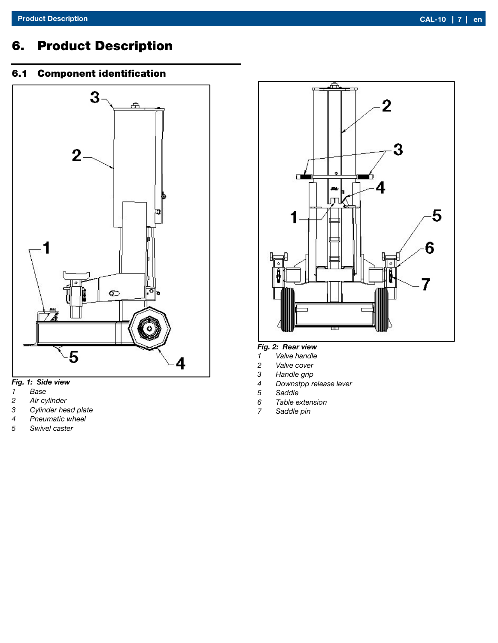# 6. Product Description

### 6.1 Component identification



#### Fig. 1: Side view

- 1 Base<br>2 Air cy
- Air cylinder
- 3 Cylinder head plate
- 4 Pneumatic wheel
- 5 Swivel caster



#### Fig. 2: Rear view

- 1 Valve handle
- 2 Valve cover<br>3 Handle grip
- Handle grip
- 4 Downstpp release lever<br>5 Saddle
- 5 Saddle
- Table extension
- 7 Saddle pin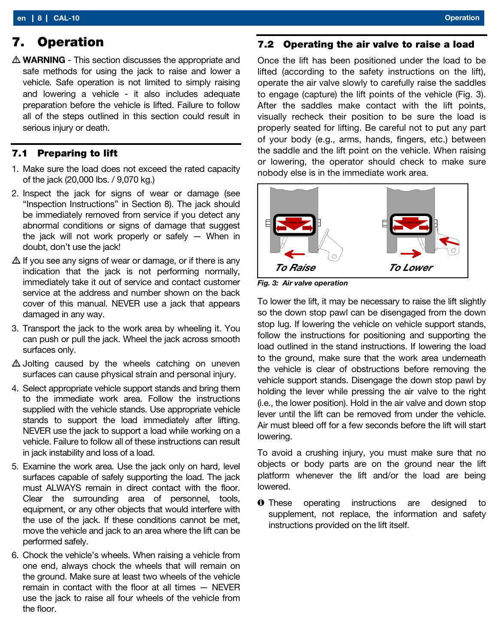# 7. Operation

 $\triangle$  WARNING - This section discusses the appropriate and safe methods for using the jack to raise and lower a vehicle. Safe operation is not limited to simply raising and lowering a vehicle - it also includes adequate preparation before the vehicle is lifted. Failure to follow all of the steps outlined in this section could result in serious injury or death.

#### 7.1 Preparing to lift

- 1. Make sure the load does not exceed the rated capacity of the jack (20,000 lbs. / 9,070 kg.)
- 2. Inspect the jack for signs of wear or damage (see "Inspection Instructions" in Section 8). The jack should be immediately removed from service if you detect any abnormal conditions or signs of damage that suggest the jack will not work properly or safely — When in doubt, don't use the jack!
- $\Delta$  If you see any signs of wear or damage, or if there is any indication that the jack is not performing normally, immediately take it out of service and contact customer service at the address and number shown on the back cover of this manual. NEVER use a jack that appears damaged in any way.
- 3. Transport the jack to the work area by wheeling it. You can push or pull the jack. Wheel the jack across smooth surfaces only.
- $\triangle$  Jolting caused by the wheels catching on uneven surfaces can cause physical strain and personal injury.
- 4. Select appropriate vehicle support stands and bring them to the immediate work area. Follow the instructions supplied with the vehicle stands. Use appropriate vehicle stands to support the load immediately after lifting. NEVER use the jack to support a load while working on a vehicle. Failure to follow all of these instructions can result in jack instability and loss of a load.
- 5. Examine the work area. Use the jack only on hard, level surfaces capable of safely supporting the load. The jack must ALWAYS remain in direct contact with the floor. Clear the surrounding area of personnel, tools, equipment, or any other objects that would interfere with the use of the jack. If these conditions cannot be met, move the vehicle and jack to an area where the lift can be performed safely.
- 6. Chock the vehicle's wheels. When raising a vehicle from one end, always chock the wheels that will remain on the ground. Make sure at least two wheels of the vehicle remain in contact with the floor at all times — NEVER use the jack to raise all four wheels of the vehicle from the floor.

#### 7.2 Operating the air valve to raise a load

Once the lift has been positioned under the load to be lifted (according to the safety instructions on the lift), operate the air valve slowly to carefully raise the saddles to engage (capture) the lift points of the vehicle (Fig. 3). After the saddles make contact with the lift points, visually recheck their position to be sure the load is properly seated for lifting. Be careful not to put any part of your body (e.g., arms, hands, fingers, etc.) between the saddle and the lift point on the vehicle. When raising or lowering, the operator should check to make sure nobody else is in the immediate work area.



Fig. 3: Air valve operation

To lower the lift, it may be necessary to raise the lift slightly so the down stop pawl can be disengaged from the down stop lug. If lowering the vehicle on vehicle support stands, follow the instructions for positioning and supporting the load outlined in the stand instructions. If lowering the load to the ground, make sure that the work area underneath the vehicle is clear of obstructions before removing the vehicle support stands. Disengage the down stop pawl by holding the lever while pressing the air valve to the right (i.e., the lower position). Hold in the air valve and down stop lever until the lift can be removed from under the vehicle. Air must bleed off for a few seconds before the lift will start lowering.

To avoid a crushing injury, you must make sure that no objects or body parts are on the ground near the lift platform whenever the lift and/or the load are being lowered.

**O** These operating instructions are designed to supplement, not replace, the information and safety instructions provided on the lift itself.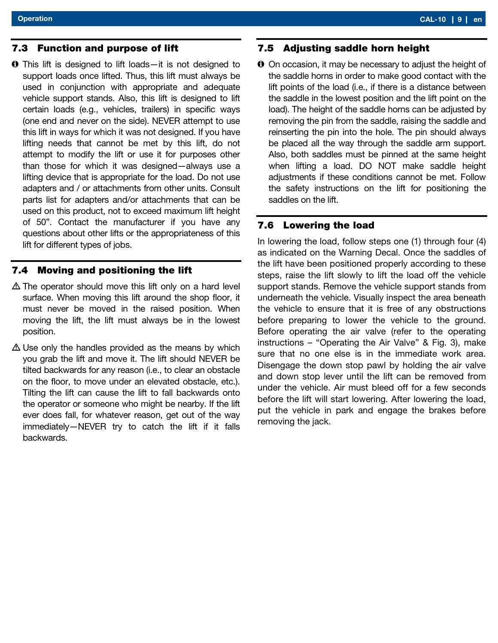#### 7.3 Function and purpose of lift

 This lift is designed to lift loads—it is not designed to support loads once lifted. Thus, this lift must always be used in conjunction with appropriate and adequate vehicle support stands. Also, this lift is designed to lift certain loads (e.g., vehicles, trailers) in specific ways (one end and never on the side). NEVER attempt to use this lift in ways for which it was not designed. If you have lifting needs that cannot be met by this lift, do not attempt to modify the lift or use it for purposes other than those for which it was designed—always use a lifting device that is appropriate for the load. Do not use adapters and / or attachments from other units. Consult parts list for adapters and/or attachments that can be used on this product, not to exceed maximum lift height of 50". Contact the manufacturer if you have any questions about other lifts or the appropriateness of this lift for different types of jobs.

#### 7.4 Moving and positioning the lift

- $\Delta$  The operator should move this lift only on a hard level surface. When moving this lift around the shop floor, it must never be moved in the raised position. When moving the lift, the lift must always be in the lowest position.
- $\triangle$  Use only the handles provided as the means by which you grab the lift and move it. The lift should NEVER be tilted backwards for any reason (i.e., to clear an obstacle on the floor, to move under an elevated obstacle, etc.). Tilting the lift can cause the lift to fall backwards onto the operator or someone who might be nearby. If the lift ever does fall, for whatever reason, get out of the way immediately—NEVER try to catch the lift if it falls backwards.

#### 7.5 Adjusting saddle horn height

 On occasion, it may be necessary to adjust the height of the saddle horns in order to make good contact with the lift points of the load (i.e., if there is a distance between the saddle in the lowest position and the lift point on the load). The height of the saddle horns can be adjusted by removing the pin from the saddle, raising the saddle and reinserting the pin into the hole. The pin should always be placed all the way through the saddle arm support. Also, both saddles must be pinned at the same height when lifting a load. DO NOT make saddle height adjustments if these conditions cannot be met. Follow the safety instructions on the lift for positioning the saddles on the lift.

#### 7.6 Lowering the load

In lowering the load, follow steps one (1) through four (4) as indicated on the Warning Decal. Once the saddles of the lift have been positioned properly according to these steps, raise the lift slowly to lift the load off the vehicle support stands. Remove the vehicle support stands from underneath the vehicle. Visually inspect the area beneath the vehicle to ensure that it is free of any obstructions before preparing to lower the vehicle to the ground. Before operating the air valve (refer to the operating instructions – "Operating the Air Valve" & Fig. 3), make sure that no one else is in the immediate work area. Disengage the down stop pawl by holding the air valve and down stop lever until the lift can be removed from under the vehicle. Air must bleed off for a few seconds before the lift will start lowering. After lowering the load, put the vehicle in park and engage the brakes before removing the jack.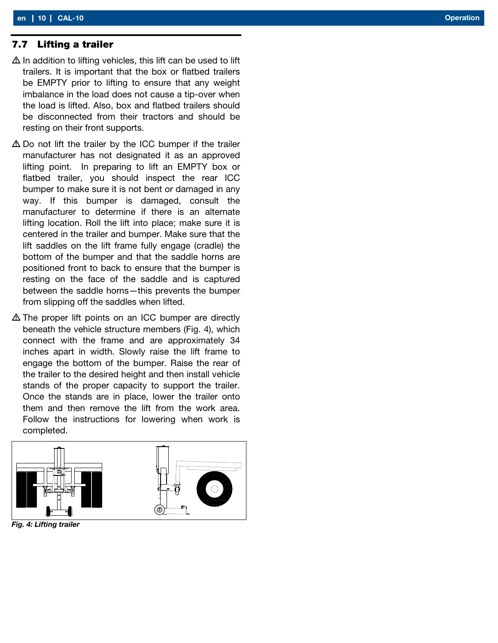- $\Delta$  In addition to lifting vehicles, this lift can be used to lift trailers. It is important that the box or flatbed trailers be EMPTY prior to lifting to ensure that any weight imbalance in the load does not cause a tip-over when the load is lifted. Also, box and flatbed trailers should be disconnected from their tractors and should be resting on their front supports.
- $\triangle$  Do not lift the trailer by the ICC bumper if the trailer manufacturer has not designated it as an approved lifting point. In preparing to lift an EMPTY box or flatbed trailer, you should inspect the rear ICC bumper to make sure it is not bent or damaged in any way. If this bumper is damaged, consult the manufacturer to determine if there is an alternate lifting location. Roll the lift into place; make sure it is centered in the trailer and bumper. Make sure that the lift saddles on the lift frame fully engage (cradle) the bottom of the bumper and that the saddle horns are positioned front to back to ensure that the bumper is resting on the face of the saddle and is captured between the saddle horns—this prevents the bumper from slipping off the saddles when lifted.
- The proper lift points on an ICC bumper are directly beneath the vehicle structure members (Fig. 4), which connect with the frame and are approximately 34 inches apart in width. Slowly raise the lift frame to engage the bottom of the bumper. Raise the rear of the trailer to the desired height and then install vehicle stands of the proper capacity to support the trailer. Once the stands are in place, lower the trailer onto them and then remove the lift from the work area. Follow the instructions for lowering when work is completed.



Fig. 4: Lifting trailer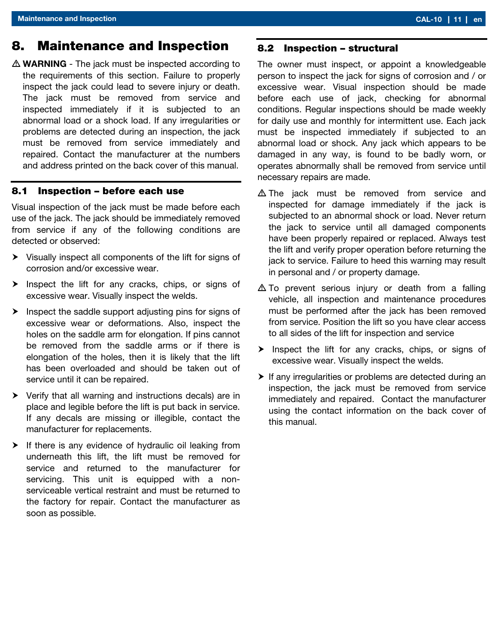## 8. Maintenance and Inspection

 $\triangle$  WARNING - The jack must be inspected according to the requirements of this section. Failure to properly inspect the jack could lead to severe injury or death. The jack must be removed from service and inspected immediately if it is subjected to an abnormal load or a shock load. If any irregularities or problems are detected during an inspection, the jack must be removed from service immediately and repaired. Contact the manufacturer at the numbers and address printed on the back cover of this manual.

#### 8.1 Inspection – before each use

Visual inspection of the jack must be made before each use of the jack. The jack should be immediately removed from service if any of the following conditions are detected or observed:

- Visually inspect all components of the lift for signs of corrosion and/or excessive wear.
- $\triangleright$  Inspect the lift for any cracks, chips, or signs of excessive wear. Visually inspect the welds.
- $\blacktriangleright$  Inspect the saddle support adjusting pins for signs of excessive wear or deformations. Also, inspect the holes on the saddle arm for elongation. If pins cannot be removed from the saddle arms or if there is elongation of the holes, then it is likely that the lift has been overloaded and should be taken out of service until it can be repaired.
- $\triangleright$  Verify that all warning and instructions decals) are in place and legible before the lift is put back in service. If any decals are missing or illegible, contact the manufacturer for replacements.
- $\blacktriangleright$  If there is any evidence of hydraulic oil leaking from underneath this lift, the lift must be removed for service and returned to the manufacturer for servicing. This unit is equipped with a nonserviceable vertical restraint and must be returned to the factory for repair. Contact the manufacturer as soon as possible.

#### 8.2 Inspection – structural

The owner must inspect, or appoint a knowledgeable person to inspect the jack for signs of corrosion and / or excessive wear. Visual inspection should be made before each use of jack, checking for abnormal conditions. Regular inspections should be made weekly for daily use and monthly for intermittent use. Each jack must be inspected immediately if subjected to an abnormal load or shock. Any jack which appears to be damaged in any way, is found to be badly worn, or operates abnormally shall be removed from service until necessary repairs are made.

- $\triangle$  The jack must be removed from service and inspected for damage immediately if the jack is subjected to an abnormal shock or load. Never return the jack to service until all damaged components have been properly repaired or replaced. Always test the lift and verify proper operation before returning the jack to service. Failure to heed this warning may result in personal and / or property damage.
- $\triangle$  To prevent serious injury or death from a falling vehicle, all inspection and maintenance procedures must be performed after the jack has been removed from service. Position the lift so you have clear access to all sides of the lift for inspection and service
- $\triangleright$  Inspect the lift for any cracks, chips, or signs of excessive wear. Visually inspect the welds.
- $\blacktriangleright$  If any irregularities or problems are detected during an inspection, the jack must be removed from service immediately and repaired. Contact the manufacturer using the contact information on the back cover of this manual.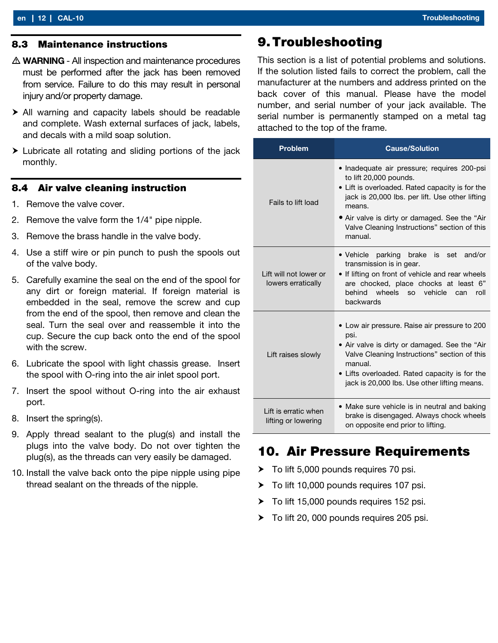#### 8.3 Maintenance instructions

- $\triangle$  WARNING All inspection and maintenance procedures must be performed after the jack has been removed from service. Failure to do this may result in personal injury and/or property damage.
- All warning and capacity labels should be readable and complete. Wash external surfaces of jack, labels, and decals with a mild soap solution.
- Lubricate all rotating and sliding portions of the jack monthly.

#### 8.4 Air valve cleaning instruction

- 1. Remove the valve cover.
- 2. Remove the valve form the 1/4" pipe nipple.
- 3. Remove the brass handle in the valve body.
- 4. Use a stiff wire or pin punch to push the spools out of the valve body.
- 5. Carefully examine the seal on the end of the spool for any dirt or foreign material. If foreign material is embedded in the seal, remove the screw and cup from the end of the spool, then remove and clean the seal. Turn the seal over and reassemble it into the cup. Secure the cup back onto the end of the spool with the screw.
- 6. Lubricate the spool with light chassis grease. Insert the spool with O-ring into the air inlet spool port.
- 7. Insert the spool without O-ring into the air exhaust port.
- 8. Insert the spring(s).
- 9. Apply thread sealant to the plug(s) and install the plugs into the valve body. Do not over tighten the plug(s), as the threads can very easily be damaged.
- 10. Install the valve back onto the pipe nipple using pipe thread sealant on the threads of the nipple.

### 9.Troubleshooting

This section is a list of potential problems and solutions. If the solution listed fails to correct the problem, call the manufacturer at the numbers and address printed on the back cover of this manual. Please have the model number, and serial number of your jack available. The serial number is permanently stamped on a metal tag attached to the top of the frame.

| <b>Problem</b>                               | <b>Cause/Solution</b>                                                                                                                                                                                                                                                                             |
|----------------------------------------------|---------------------------------------------------------------------------------------------------------------------------------------------------------------------------------------------------------------------------------------------------------------------------------------------------|
| Fails to lift load                           | • Inadequate air pressure; requires 200-psi<br>to lift 20,000 pounds.<br>• Lift is overloaded. Rated capacity is for the<br>jack is 20,000 lbs. per lift. Use other lifting<br>means.<br>• Air valve is dirty or damaged. See the "Air<br>Valve Cleaning Instructions" section of this<br>manual. |
| Lift will not lower or<br>lowers erratically | · Vehicle parking brake is set<br>and/or<br>transmission is in gear.<br>• If lifting on front of vehicle and rear wheels<br>are chocked, place chocks at least 6"<br>behind wheels so vehicle<br>roll<br>can<br>backwards                                                                         |
| Lift raises slowly                           | • Low air pressure. Raise air pressure to 200<br>psi.<br>• Air valve is dirty or damaged. See the "Air<br>Valve Cleaning Instructions" section of this<br>manual.<br>• Lifts overloaded. Rated capacity is for the<br>jack is 20,000 lbs. Use other lifting means.                                |
| I ift is erratic when<br>lifting or lowering | • Make sure vehicle is in neutral and baking<br>brake is disengaged. Always chock wheels<br>on opposite end prior to lifting.                                                                                                                                                                     |

# 10. Air Pressure Requirements

- $\triangleright$  To lift 5,000 pounds requires 70 psi.
- ▶ To lift 10,000 pounds requires 107 psi.
- $\triangleright$  To lift 15,000 pounds requires 152 psi.
- ▶ To lift 20, 000 pounds requires 205 psi.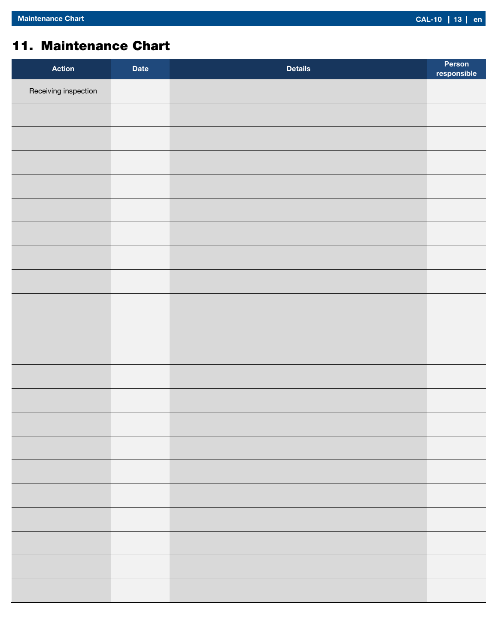# 11. Maintenance Chart

| <b>Action</b>        | <b>Date</b> | <b>Details</b> | Person<br>responsible |
|----------------------|-------------|----------------|-----------------------|
| Receiving inspection |             |                |                       |
|                      |             |                |                       |
|                      |             |                |                       |
|                      |             |                |                       |
|                      |             |                |                       |
|                      |             |                |                       |
|                      |             |                |                       |
|                      |             |                |                       |
|                      |             |                |                       |
|                      |             |                |                       |
|                      |             |                |                       |
|                      |             |                |                       |
|                      |             |                |                       |
|                      |             |                |                       |
|                      |             |                |                       |
|                      |             |                |                       |
|                      |             |                |                       |
|                      |             |                |                       |
|                      |             |                |                       |
|                      |             |                |                       |
|                      |             |                |                       |
|                      |             |                |                       |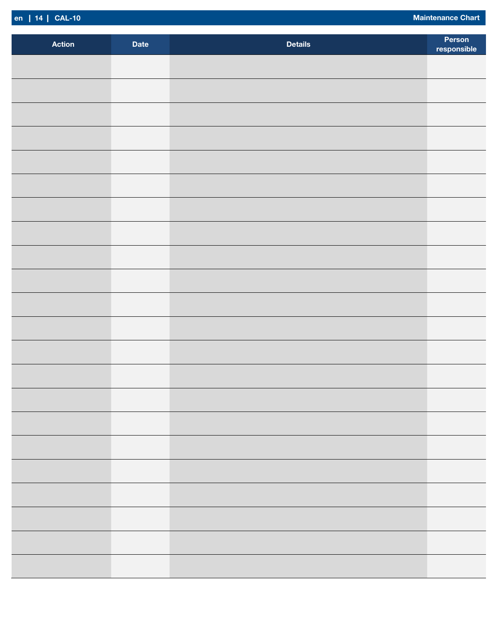|  | en   14   CAL-10 |
|--|------------------|

Maintenance Chart

| <b>Action</b> | <b>Date</b> | <b>Details</b> | Person<br>responsible |
|---------------|-------------|----------------|-----------------------|
|               |             |                |                       |
|               |             |                |                       |
|               |             |                |                       |
|               |             |                |                       |
|               |             |                |                       |
|               |             |                |                       |
|               |             |                |                       |
|               |             |                |                       |
|               |             |                |                       |
|               |             |                |                       |
|               |             |                |                       |
|               |             |                |                       |
|               |             |                |                       |
|               |             |                |                       |
|               |             |                |                       |
|               |             |                |                       |
|               |             |                |                       |
|               |             |                |                       |
|               |             |                |                       |
|               |             |                |                       |
|               |             |                |                       |
|               |             |                |                       |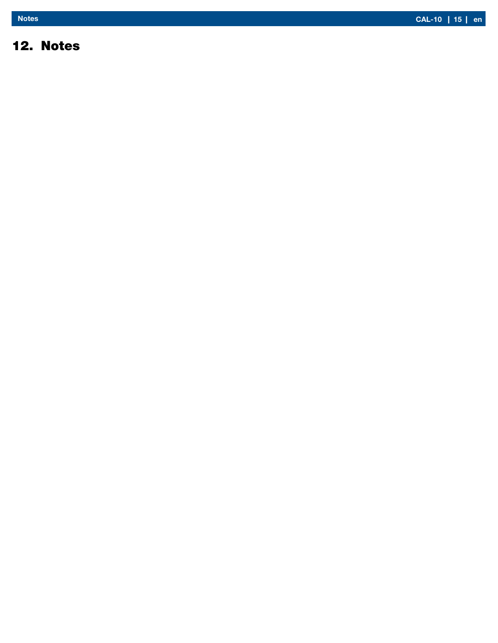# 12. Notes